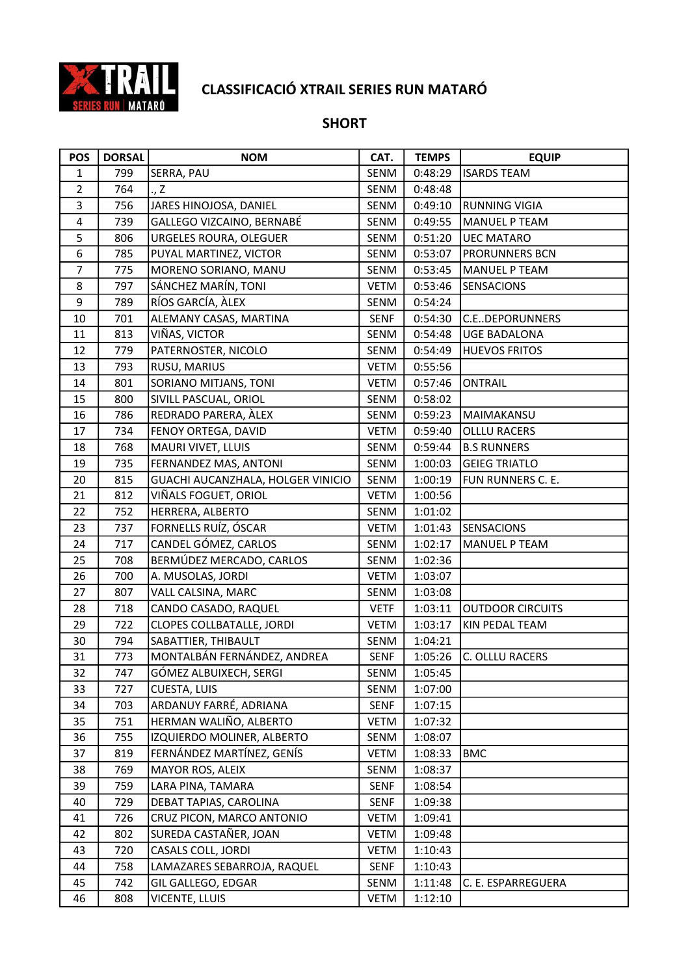

## SHORT

| <b>POS</b>              | <b>DORSAL</b> | <b>NOM</b>                        | CAT.        | <b>TEMPS</b> | <b>EQUIP</b>            |
|-------------------------|---------------|-----------------------------------|-------------|--------------|-------------------------|
| $\mathbf{1}$            | 799           | SERRA, PAU                        | SENM        | 0:48:29      | <b>ISARDS TEAM</b>      |
| $\overline{2}$          | 764           | ., Z                              | SENM        | 0:48:48      |                         |
| $\mathbf{3}$            | 756           | JARES HINOJOSA, DANIEL            | SENM        | 0:49:10      | <b>RUNNING VIGIA</b>    |
| $\overline{\mathbf{4}}$ | 739           | GALLEGO VIZCAINO, BERNABÉ         | SENM        | 0:49:55      | <b>MANUEL P TEAM</b>    |
| 5                       | 806           | URGELES ROURA, OLEGUER            | SENM        | 0:51:20      | <b>UEC MATARO</b>       |
| 6                       | 785           | PUYAL MARTINEZ, VICTOR            | SENM        | 0:53:07      | <b>PRORUNNERS BCN</b>   |
| $\overline{7}$          | 775           | MORENO SORIANO, MANU              | SENM        | 0:53:45      | <b>MANUEL P TEAM</b>    |
| 8                       | 797           | SÁNCHEZ MARÍN, TONI               | VETM        | 0:53:46      | <b>SENSACIONS</b>       |
| 9                       | 789           | RÍOS GARCÍA, ÀLEX                 | SENM        | 0:54:24      |                         |
| 10                      | 701           | ALEMANY CASAS, MARTINA            | SENF        | 0:54:30      | <b>C.EDEPORUNNERS</b>   |
| 11                      | 813           | VIÑAS, VICTOR                     | SENM        | 0:54:48      | <b>UGE BADALONA</b>     |
| 12                      | 779           | PATERNOSTER, NICOLO               | SENM        | 0:54:49      | <b>HUEVOS FRITOS</b>    |
| 13                      | 793           | RUSU, MARIUS                      | VETM        | 0:55:56      |                         |
| $14\,$                  | 801           | SORIANO MITJANS, TONI             | <b>VETM</b> | 0:57:46      | ONTRAIL                 |
| 15                      | 800           | SIVILL PASCUAL, ORIOL             | SENM        | 0:58:02      |                         |
| 16                      | 786           | REDRADO PARERA, ÀLEX              | SENM        | 0:59:23      | MAIMAKANSU              |
| 17                      | 734           | FENOY ORTEGA, DAVID               | <b>VETM</b> | 0:59:40      | <b>OLLLU RACERS</b>     |
| 18                      | 768           | MAURI VIVET, LLUIS                | SENM        | 0:59:44      | <b>B.S RUNNERS</b>      |
| 19                      | 735           | FERNANDEZ MAS, ANTONI             | SENM        | 1:00:03      | <b>GEIEG TRIATLO</b>    |
| 20                      | 815           | GUACHI AUCANZHALA, HOLGER VINICIO | SENM        | 1:00:19      | FUN RUNNERS C. E.       |
| 21                      | 812           | VIÑALS FOGUET, ORIOL              | <b>VETM</b> | 1:00:56      |                         |
| 22                      | 752           | HERRERA, ALBERTO                  | SENM        | 1:01:02      |                         |
| 23                      | 737           | FORNELLS RUÍZ, ÓSCAR              | <b>VETM</b> | 1:01:43      | SENSACIONS              |
| 24                      | 717           | CANDEL GÓMEZ, CARLOS              | SENM        | 1:02:17      | <b>MANUEL P TEAM</b>    |
| 25                      | 708           | BERMÚDEZ MERCADO, CARLOS          | SENM        | 1:02:36      |                         |
| 26                      | 700           | A. MUSOLAS, JORDI                 | <b>VETM</b> | 1:03:07      |                         |
| 27                      | 807           | VALL CALSINA, MARC                | SENM        | 1:03:08      |                         |
| 28                      | 718           | CANDO CASADO, RAQUEL              | <b>VETF</b> | 1:03:11      | <b>OUTDOOR CIRCUITS</b> |
| 29                      | 722           | <b>CLOPES COLLBATALLE, JORDI</b>  | <b>VETM</b> | 1:03:17      | KIN PEDAL TEAM          |
| 30                      | 794           | SABATTIER, THIBAULT               | SENM        | 1:04:21      |                         |
| 31                      | 773           | MONTALBÁN FERNÁNDEZ, ANDREA       | <b>SENF</b> | 1:05:26      | C. OLLLU RACERS         |
| 32                      | 747           | GÓMEZ ALBUIXECH, SERGI            | SENM        | 1:05:45      |                         |
| 33                      | 727           | CUESTA, LUIS                      | SENM        | 1:07:00      |                         |
| 34                      | 703           | ARDANUY FARRÉ, ADRIANA            | SENF        | 1:07:15      |                         |
| 35                      | 751           | HERMAN WALIÑO, ALBERTO            | <b>VETM</b> | 1:07:32      |                         |
| 36                      | 755           | IZQUIERDO MOLINER, ALBERTO        | SENM        | 1:08:07      |                         |
| 37                      | 819           | FERNÁNDEZ MARTÍNEZ, GENÍS         | <b>VETM</b> | 1:08:33      | <b>BMC</b>              |
| 38                      | 769           | MAYOR ROS, ALEIX                  | <b>SENM</b> | 1:08:37      |                         |
| 39                      | 759           | LARA PINA, TAMARA                 | SENF        | 1:08:54      |                         |
| 40                      | 729           | DEBAT TAPIAS, CAROLINA            | SENF        | 1:09:38      |                         |
| 41                      | 726           | CRUZ PICON, MARCO ANTONIO         | VETM        | 1:09:41      |                         |
| 42                      | 802           | SUREDA CASTAÑER, JOAN             | <b>VETM</b> | 1:09:48      |                         |
| 43                      | 720           | CASALS COLL, JORDI                | VETM        | 1:10:43      |                         |
| 44                      | 758           | LAMAZARES SEBARROJA, RAQUEL       | <b>SENF</b> | 1:10:43      |                         |
| 45                      | 742           | GIL GALLEGO, EDGAR                | SENM        | 1:11:48      | C. E. ESPARREGUERA      |
| 46                      | 808           | VICENTE, LLUIS                    | VETM        | 1:12:10      |                         |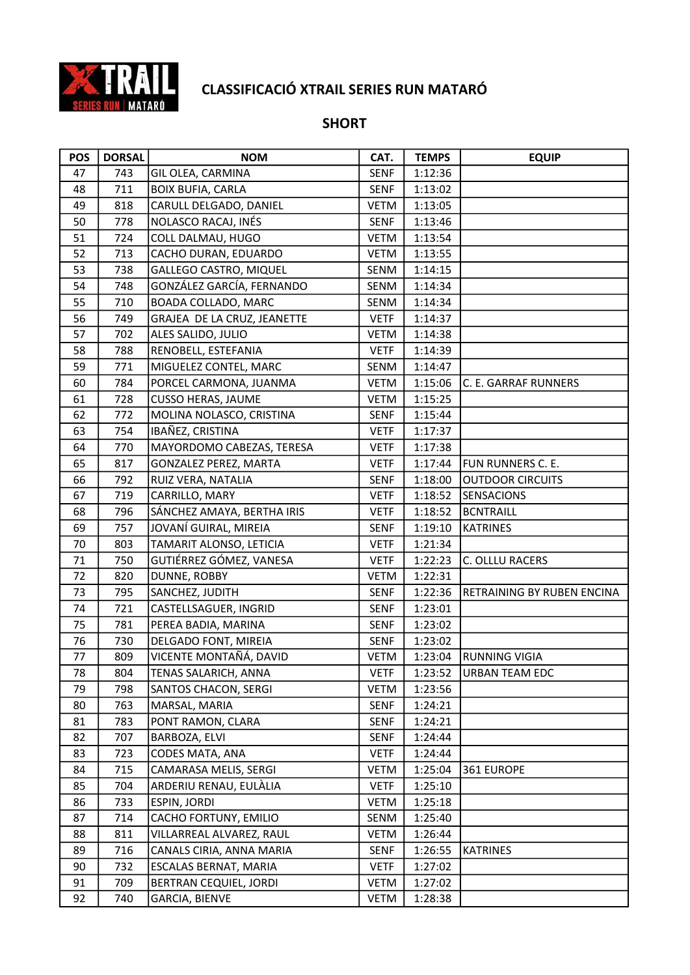

## SHORT

| <b>POS</b> | <b>DORSAL</b> | <b>NOM</b>                   | CAT.        | <b>TEMPS</b> | <b>EQUIP</b>               |
|------------|---------------|------------------------------|-------------|--------------|----------------------------|
| 47         | 743           | GIL OLEA, CARMINA            | <b>SENF</b> | 1:12:36      |                            |
| 48         | 711           | <b>BOIX BUFIA, CARLA</b>     | SENF        | 1:13:02      |                            |
| 49         | 818           | CARULL DELGADO, DANIEL       | <b>VETM</b> | 1:13:05      |                            |
| 50         | 778           | NOLASCO RACAJ, INÉS          | <b>SENF</b> | 1:13:46      |                            |
| 51         | 724           | COLL DALMAU, HUGO            | <b>VETM</b> | 1:13:54      |                            |
| 52         | 713           | CACHO DURAN, EDUARDO         | <b>VETM</b> | 1:13:55      |                            |
| 53         | 738           | GALLEGO CASTRO, MIQUEL       | SENM        | 1:14:15      |                            |
| 54         | 748           | GONZÁLEZ GARCÍA, FERNANDO    | SENM        | 1:14:34      |                            |
| 55         | 710           | <b>BOADA COLLADO, MARC</b>   | SENM        | 1:14:34      |                            |
| 56         | 749           | GRAJEA DE LA CRUZ, JEANETTE  | <b>VETF</b> | 1:14:37      |                            |
| 57         | 702           | ALES SALIDO, JULIO           | <b>VETM</b> | 1:14:38      |                            |
| 58         | 788           | RENOBELL, ESTEFANIA          | <b>VETF</b> | 1:14:39      |                            |
| 59         | 771           | MIGUELEZ CONTEL, MARC        | SENM        | 1:14:47      |                            |
| 60         | 784           | PORCEL CARMONA, JUANMA       | VETM        | 1:15:06      | C. E. GARRAF RUNNERS       |
| 61         | 728           | <b>CUSSO HERAS, JAUME</b>    | <b>VETM</b> | 1:15:25      |                            |
| 62         | 772           | MOLINA NOLASCO, CRISTINA     | <b>SENF</b> | 1:15:44      |                            |
| 63         | 754           | IBAÑEZ, CRISTINA             | <b>VETF</b> | 1:17:37      |                            |
| 64         | 770           | MAYORDOMO CABEZAS, TERESA    | <b>VETF</b> | 1:17:38      |                            |
| 65         | 817           | <b>GONZALEZ PEREZ, MARTA</b> | <b>VETF</b> | 1:17:44      | FUN RUNNERS C. E.          |
| 66         | 792           | RUIZ VERA, NATALIA           | SENF        | 1:18:00      | <b>OUTDOOR CIRCUITS</b>    |
| 67         | 719           | CARRILLO, MARY               | <b>VETF</b> | 1:18:52      | <b>SENSACIONS</b>          |
| 68         | 796           | SÁNCHEZ AMAYA, BERTHA IRIS   | <b>VETF</b> | 1:18:52      | <b>BCNTRAILL</b>           |
| 69         | 757           | JOVANÍ GUIRAL, MIREIA        | <b>SENF</b> | 1:19:10      | <b>KATRINES</b>            |
| 70         | 803           | TAMARIT ALONSO, LETICIA      | <b>VETF</b> | 1:21:34      |                            |
| 71         | 750           | GUTIÉRREZ GÓMEZ, VANESA      | <b>VETF</b> | 1:22:23      | C. OLLLU RACERS            |
| 72         | 820           | DUNNE, ROBBY                 | <b>VETM</b> | 1:22:31      |                            |
| 73         | 795           | SANCHEZ, JUDITH              | SENF        | 1:22:36      | RETRAINING BY RUBEN ENCINA |
| 74         | 721           | CASTELLSAGUER, INGRID        | <b>SENF</b> | 1:23:01      |                            |
| 75         | 781           | PEREA BADIA, MARINA          | <b>SENF</b> | 1:23:02      |                            |
| 76         | 730           | DELGADO FONT, MIREIA         | SENF        | 1:23:02      |                            |
| 77         | 809           | VICENTE MONTAÑÁ, DAVID       | <b>VETM</b> | 1:23:04      | <b>RUNNING VIGIA</b>       |
| 78         | 804           | TENAS SALARICH, ANNA         | <b>VETF</b> | 1:23:52      | <b>URBAN TEAM EDC</b>      |
| 79         | 798           | SANTOS CHACON, SERGI         | <b>VETM</b> | 1:23:56      |                            |
| 80         | 763           | MARSAL, MARIA                | <b>SENF</b> | 1:24:21      |                            |
| 81         | 783           | PONT RAMON, CLARA            | <b>SENF</b> | 1:24:21      |                            |
| 82         | 707           | BARBOZA, ELVI                | SENF        | 1:24:44      |                            |
| 83         | 723           | CODES MATA, ANA              | <b>VETF</b> | 1:24:44      |                            |
| 84         | 715           | CAMARASA MELIS, SERGI        | <b>VETM</b> | 1:25:04      | 361 EUROPE                 |
| 85         | 704           | ARDERIU RENAU, EULALIA       | VETF        | 1:25:10      |                            |
| 86         | 733           | ESPIN, JORDI                 | <b>VETM</b> | 1:25:18      |                            |
| 87         | 714           | CACHO FORTUNY, EMILIO        | SENM        | 1:25:40      |                            |
| 88         | 811           | VILLARREAL ALVAREZ, RAUL     | VETM        | 1:26:44      |                            |
| 89         | 716           | CANALS CIRIA, ANNA MARIA     | SENF        | 1:26:55      | KATRINES                   |
| 90         | 732           | ESCALAS BERNAT, MARIA        | <b>VETF</b> | 1:27:02      |                            |
| 91         | 709           | BERTRAN CEQUIEL, JORDI       | <b>VETM</b> | 1:27:02      |                            |
| 92         | 740           | GARCIA, BIENVE               | VETM        | 1:28:38      |                            |